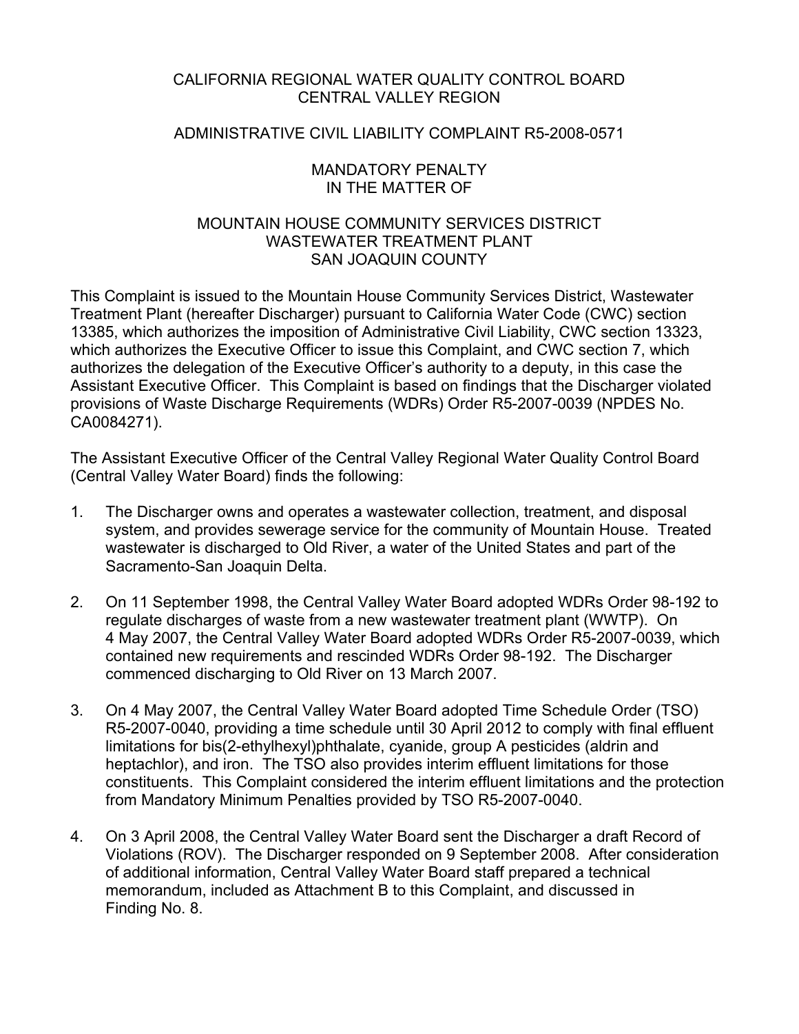## CALIFORNIA REGIONAL WATER QUALITY CONTROL BOARD CENTRAL VALLEY REGION

### ADMINISTRATIVE CIVIL LIABILITY COMPLAINT R5-2008-0571

### MANDATORY PENALTY IN THE MATTER OF

# MOUNTAIN HOUSE COMMUNITY SERVICES DISTRICT WASTEWATER TREATMENT PLANT SAN JOAQUIN COUNTY

This Complaint is issued to the Mountain House Community Services District, Wastewater Treatment Plant (hereafter Discharger) pursuant to California Water Code (CWC) section 13385, which authorizes the imposition of Administrative Civil Liability, CWC section 13323, which authorizes the Executive Officer to issue this Complaint, and CWC section 7, which authorizes the delegation of the Executive Officer's authority to a deputy, in this case the Assistant Executive Officer. This Complaint is based on findings that the Discharger violated provisions of Waste Discharge Requirements (WDRs) Order R5-2007-0039 (NPDES No. CA0084271).

The Assistant Executive Officer of the Central Valley Regional Water Quality Control Board (Central Valley Water Board) finds the following:

- 1. The Discharger owns and operates a wastewater collection, treatment, and disposal system, and provides sewerage service for the community of Mountain House. Treated wastewater is discharged to Old River, a water of the United States and part of the Sacramento-San Joaquin Delta.
- 2. On 11 September 1998, the Central Valley Water Board adopted WDRs Order 98-192 to regulate discharges of waste from a new wastewater treatment plant (WWTP). On 4 May 2007, the Central Valley Water Board adopted WDRs Order R5-2007-0039, which contained new requirements and rescinded WDRs Order 98-192. The Discharger commenced discharging to Old River on 13 March 2007.
- 3. On 4 May 2007, the Central Valley Water Board adopted Time Schedule Order (TSO) R5-2007-0040, providing a time schedule until 30 April 2012 to comply with final effluent limitations for bis(2-ethylhexyl)phthalate, cyanide, group A pesticides (aldrin and heptachlor), and iron. The TSO also provides interim effluent limitations for those constituents. This Complaint considered the interim effluent limitations and the protection from Mandatory Minimum Penalties provided by TSO R5-2007-0040.
- 4. On 3 April 2008, the Central Valley Water Board sent the Discharger a draft Record of Violations (ROV). The Discharger responded on 9 September 2008. After consideration of additional information, Central Valley Water Board staff prepared a technical memorandum, included as Attachment B to this Complaint, and discussed in Finding No. 8.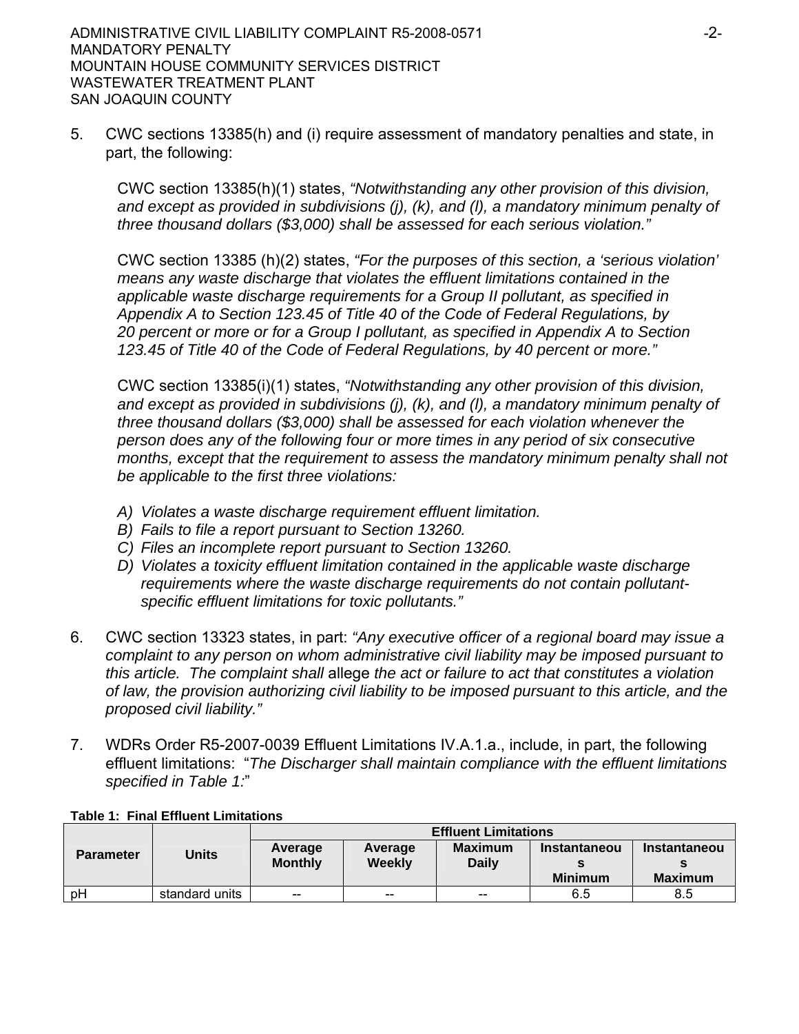5. CWC sections 13385(h) and (i) require assessment of mandatory penalties and state, in part, the following:

CWC section 13385(h)(1) states, *"Notwithstanding any other provision of this division, and except as provided in subdivisions (j), (k), and (l), a mandatory minimum penalty of three thousand dollars (\$3,000) shall be assessed for each serious violation."* 

CWC section 13385 (h)(2) states, *"For the purposes of this section, a 'serious violation' means any waste discharge that violates the effluent limitations contained in the applicable waste discharge requirements for a Group II pollutant, as specified in Appendix A to Section 123.45 of Title 40 of the Code of Federal Regulations, by 20 percent or more or for a Group I pollutant, as specified in Appendix A to Section 123.45 of Title 40 of the Code of Federal Regulations, by 40 percent or more."*

CWC section 13385(i)(1) states, *"Notwithstanding any other provision of this division, and except as provided in subdivisions (j), (k), and (l), a mandatory minimum penalty of three thousand dollars (\$3,000) shall be assessed for each violation whenever the person does any of the following four or more times in any period of six consecutive months, except that the requirement to assess the mandatory minimum penalty shall not be applicable to the first three violations:*

- *A) Violates a waste discharge requirement effluent limitation.*
- *B) Fails to file a report pursuant to Section 13260.*
- *C) Files an incomplete report pursuant to Section 13260.*
- *D) Violates a toxicity effluent limitation contained in the applicable waste discharge requirements where the waste discharge requirements do not contain pollutantspecific effluent limitations for toxic pollutants."*
- 6. CWC section 13323 states, in part: *"Any executive officer of a regional board may issue a complaint to any person on whom administrative civil liability may be imposed pursuant to this article. The complaint shall* allege *the act or failure to act that constitutes a violation of law, the provision authorizing civil liability to be imposed pursuant to this article, and the proposed civil liability."*
- 7. WDRs Order R5-2007-0039 Effluent Limitations IV.A.1.a., include, in part, the following effluent limitations: "*The Discharger shall maintain compliance with the effluent limitations specified in Table 1:*"

|                  |                |                   |                           | <b>Effluent Limitations</b> |                |                     |  |
|------------------|----------------|-------------------|---------------------------|-----------------------------|----------------|---------------------|--|
| <b>Parameter</b> | <b>Units</b>   | Average           | <b>Maximum</b><br>Average |                             | Instantaneou   | <b>Instantaneou</b> |  |
|                  |                | <b>Monthly</b>    | Weekly                    | <b>Daily</b>                |                |                     |  |
|                  |                |                   |                           |                             | <b>Minimum</b> | <b>Maximum</b>      |  |
| pH               | standard units | $\hspace{0.05cm}$ | $-$                       | $\hspace{0.05cm}$           | 6.5            | 8.5                 |  |

### **Table 1: Final Effluent Limitations**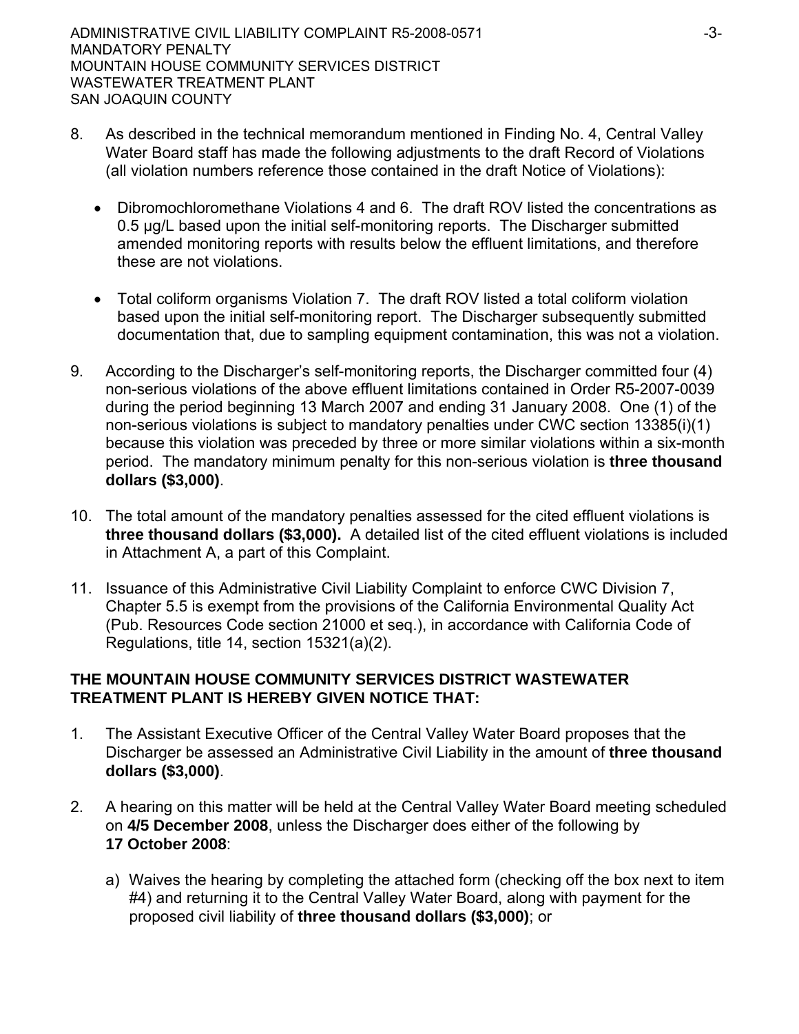- 8. As described in the technical memorandum mentioned in Finding No. 4, Central Valley Water Board staff has made the following adjustments to the draft Record of Violations (all violation numbers reference those contained in the draft Notice of Violations):
	- Dibromochloromethane Violations 4 and 6. The draft ROV listed the concentrations as 0.5 µg/L based upon the initial self-monitoring reports. The Discharger submitted amended monitoring reports with results below the effluent limitations, and therefore these are not violations.
	- Total coliform organisms Violation 7. The draft ROV listed a total coliform violation based upon the initial self-monitoring report. The Discharger subsequently submitted documentation that, due to sampling equipment contamination, this was not a violation.
- 9. According to the Discharger's self-monitoring reports, the Discharger committed four (4) non-serious violations of the above effluent limitations contained in Order R5-2007-0039 during the period beginning 13 March 2007 and ending 31 January 2008. One (1) of the non-serious violations is subject to mandatory penalties under CWC section 13385(i)(1) because this violation was preceded by three or more similar violations within a six-month period. The mandatory minimum penalty for this non-serious violation is **three thousand dollars (\$3,000)**.
- 10. The total amount of the mandatory penalties assessed for the cited effluent violations is **three thousand dollars (\$3,000).** A detailed list of the cited effluent violations is included in Attachment A, a part of this Complaint.
- 11. Issuance of this Administrative Civil Liability Complaint to enforce CWC Division 7, Chapter 5.5 is exempt from the provisions of the California Environmental Quality Act (Pub. Resources Code section 21000 et seq.), in accordance with California Code of Regulations, title 14, section 15321(a)(2).

## **THE MOUNTAIN HOUSE COMMUNITY SERVICES DISTRICT WASTEWATER TREATMENT PLANT IS HEREBY GIVEN NOTICE THAT:**

- 1. The Assistant Executive Officer of the Central Valley Water Board proposes that the Discharger be assessed an Administrative Civil Liability in the amount of **three thousand dollars (\$3,000)**.
- 2. A hearing on this matter will be held at the Central Valley Water Board meeting scheduled on **4/5 December 2008**, unless the Discharger does either of the following by **17 October 2008**:
	- a) Waives the hearing by completing the attached form (checking off the box next to item #4) and returning it to the Central Valley Water Board, along with payment for the proposed civil liability of **three thousand dollars (\$3,000)**; or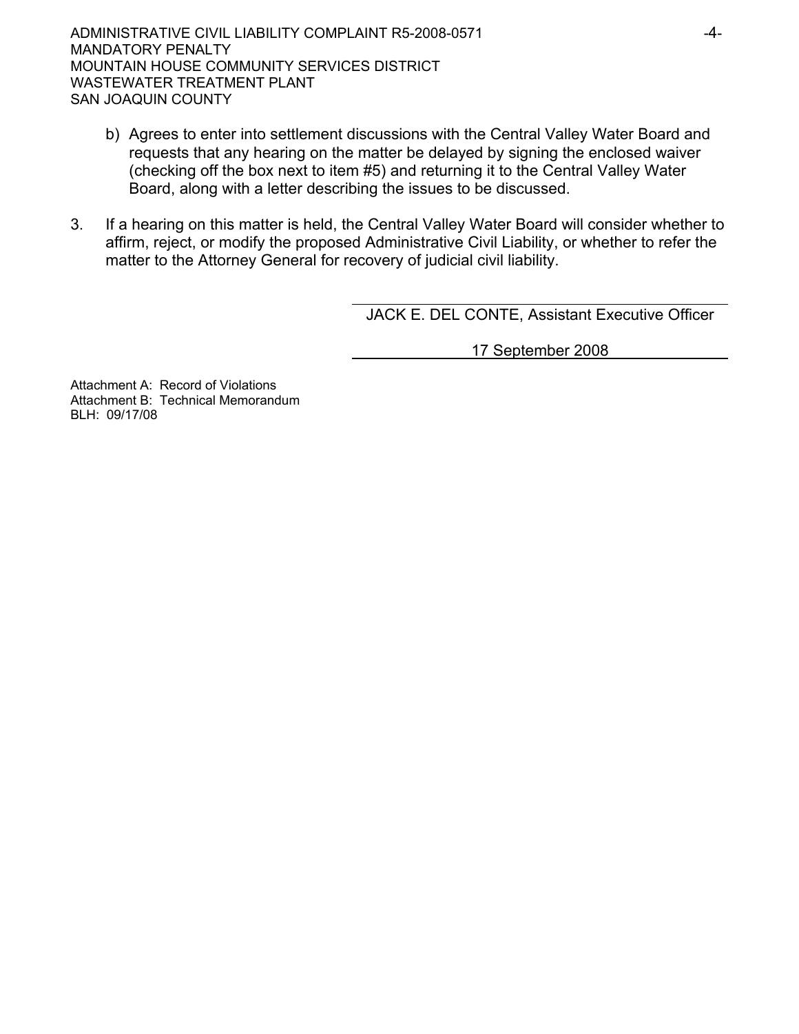- b) Agrees to enter into settlement discussions with the Central Valley Water Board and requests that any hearing on the matter be delayed by signing the enclosed waiver (checking off the box next to item #5) and returning it to the Central Valley Water Board, along with a letter describing the issues to be discussed.
- 3. If a hearing on this matter is held, the Central Valley Water Board will consider whether to affirm, reject, or modify the proposed Administrative Civil Liability, or whether to refer the matter to the Attorney General for recovery of judicial civil liability.

JACK E. DEL CONTE, Assistant Executive Officer

17 September 2008

Attachment A: Record of Violations Attachment B: Technical Memorandum BLH: 09/17/08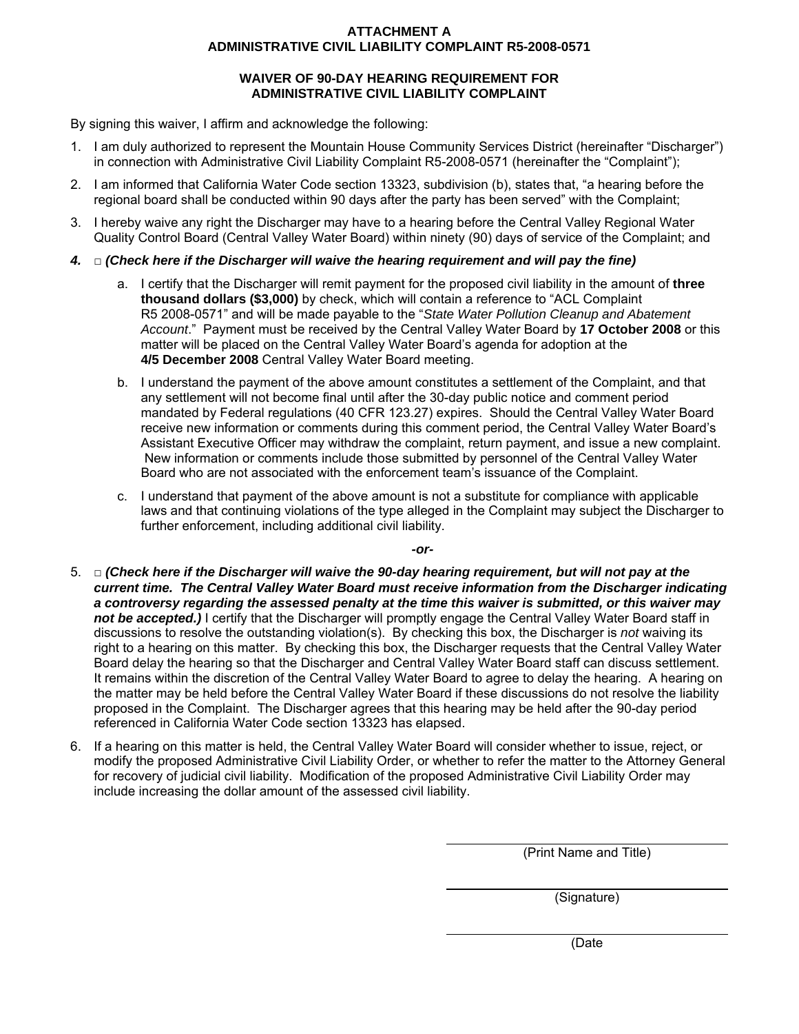### **ATTACHMENT A ADMINISTRATIVE CIVIL LIABILITY COMPLAINT R5-2008-0571**

#### **WAIVER OF 90-DAY HEARING REQUIREMENT FOR ADMINISTRATIVE CIVIL LIABILITY COMPLAINT**

By signing this waiver, I affirm and acknowledge the following:

- 1. I am duly authorized to represent the Mountain House Community Services District (hereinafter "Discharger") in connection with Administrative Civil Liability Complaint R5-2008-0571 (hereinafter the "Complaint");
- 2. I am informed that California Water Code section 13323, subdivision (b), states that, "a hearing before the regional board shall be conducted within 90 days after the party has been served" with the Complaint;
- 3. I hereby waive any right the Discharger may have to a hearing before the Central Valley Regional Water Quality Control Board (Central Valley Water Board) within ninety (90) days of service of the Complaint; and
- *4.* □ *(Check here if the Discharger will waive the hearing requirement and will pay the fine)* 
	- a. I certify that the Discharger will remit payment for the proposed civil liability in the amount of **three thousand dollars (\$3,000)** by check, which will contain a reference to "ACL Complaint R5 2008-0571" and will be made payable to the "*State Water Pollution Cleanup and Abatement Account*." Payment must be received by the Central Valley Water Board by **17 October 2008** or this matter will be placed on the Central Valley Water Board's agenda for adoption at the **4/5 December 2008** Central Valley Water Board meeting.
	- b. I understand the payment of the above amount constitutes a settlement of the Complaint, and that any settlement will not become final until after the 30-day public notice and comment period mandated by Federal regulations (40 CFR 123.27) expires. Should the Central Valley Water Board receive new information or comments during this comment period, the Central Valley Water Board's Assistant Executive Officer may withdraw the complaint, return payment, and issue a new complaint. New information or comments include those submitted by personnel of the Central Valley Water Board who are not associated with the enforcement team's issuance of the Complaint.
	- c. I understand that payment of the above amount is not a substitute for compliance with applicable laws and that continuing violations of the type alleged in the Complaint may subject the Discharger to further enforcement, including additional civil liability.

*-or-*

- 5. □ *(Check here if the Discharger will waive the 90-day hearing requirement, but will not pay at the current time. The Central Valley Water Board must receive information from the Discharger indicating a controversy regarding the assessed penalty at the time this waiver is submitted, or this waiver may not be accepted.)* I certify that the Discharger will promptly engage the Central Valley Water Board staff in discussions to resolve the outstanding violation(s). By checking this box, the Discharger is *not* waiving its right to a hearing on this matter. By checking this box, the Discharger requests that the Central Valley Water Board delay the hearing so that the Discharger and Central Valley Water Board staff can discuss settlement. It remains within the discretion of the Central Valley Water Board to agree to delay the hearing. A hearing on the matter may be held before the Central Valley Water Board if these discussions do not resolve the liability proposed in the Complaint. The Discharger agrees that this hearing may be held after the 90-day period referenced in California Water Code section 13323 has elapsed.
- 6. If a hearing on this matter is held, the Central Valley Water Board will consider whether to issue, reject, or modify the proposed Administrative Civil Liability Order, or whether to refer the matter to the Attorney General for recovery of judicial civil liability. Modification of the proposed Administrative Civil Liability Order may include increasing the dollar amount of the assessed civil liability.

(Print Name and Title)

(Signature)

(Date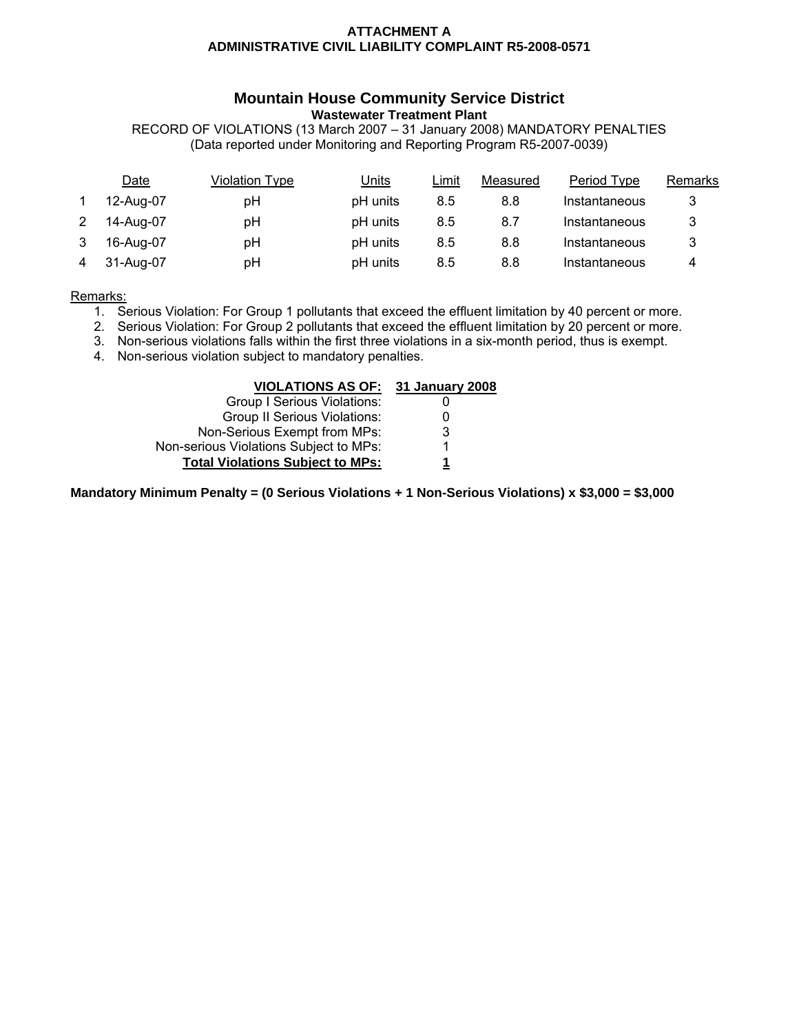#### **ATTACHMENT A ADMINISTRATIVE CIVIL LIABILITY COMPLAINT R5-2008-0571**

### **Mountain House Community Service District Wastewater Treatment Plant**

RECORD OF VIOLATIONS (13 March 2007 – 31 January 2008) MANDATORY PENALTIES (Data reported under Monitoring and Reporting Program R5-2007-0039)

| Date      | Violation Type | <u>Units</u> | Limit | Measured | Period Type   | Remarks |
|-----------|----------------|--------------|-------|----------|---------------|---------|
| 12-Aug-07 | рH             | pH units     | 8.5   | 8.8      | Instantaneous | 3       |
| 14-Aug-07 | рH             | pH units     | 8.5   | 8.7      | Instantaneous | 3       |
| 16-Aug-07 | рH             | pH units     | 8.5   | 8.8      | Instantaneous | 3       |
| 31-Aug-07 | рH             | pH units     | 8.5   | 8.8      | Instantaneous | 4       |

Remarks:

- 1. Serious Violation: For Group 1 pollutants that exceed the effluent limitation by 40 percent or more.
- 2. Serious Violation: For Group 2 pollutants that exceed the effluent limitation by 20 percent or more.
- 3. Non-serious violations falls within the first three violations in a six-month period, thus is exempt.
- 4. Non-serious violation subject to mandatory penalties.

| VIOLATIONS AS OF: 31 January 2008       |   |
|-----------------------------------------|---|
| Group I Serious Violations:             |   |
| <b>Group II Serious Violations:</b>     |   |
| Non-Serious Exempt from MPs:            | 3 |
| Non-serious Violations Subject to MPs:  |   |
| <b>Total Violations Subject to MPs:</b> |   |

**Mandatory Minimum Penalty = (0 Serious Violations + 1 Non-Serious Violations) x \$3,000 = \$3,000**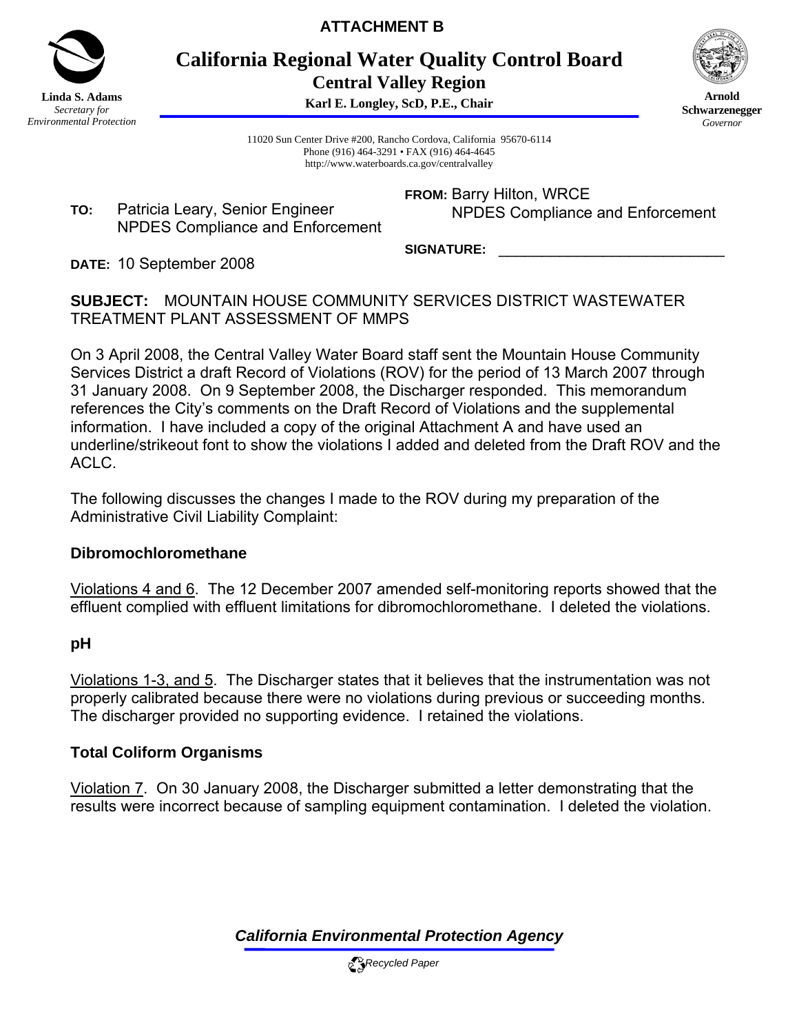

**ATTACHMENT B** 

**California Regional Water Quality Control Board Central Valley Region** 

**Karl E. Longley, ScD, P.E., Chair**



**Arnold Schwarzenegger** *Governor* 

11020 Sun Center Drive #200, Rancho Cordova, California 95670-6114 Phone (916) 464-3291 • FAX (916) 464-4645 http://www.waterboards.ca.gov/centralvalley

**TO:** Patricia Leary, Senior Engineer NPDES Compliance and Enforcement **FROM:** Barry Hilton, WRCE NPDES Compliance and Enforcement

SIGNATURE:

**DATE:** 10 September 2008

**SUBJECT:** MOUNTAIN HOUSE COMMUNITY SERVICES DISTRICT WASTEWATER TREATMENT PLANT ASSESSMENT OF MMPS

On 3 April 2008, the Central Valley Water Board staff sent the Mountain House Community Services District a draft Record of Violations (ROV) for the period of 13 March 2007 through 31 January 2008. On 9 September 2008, the Discharger responded. This memorandum references the City's comments on the Draft Record of Violations and the supplemental information. I have included a copy of the original Attachment A and have used an underline/strikeout font to show the violations I added and deleted from the Draft ROV and the ACLC.

The following discusses the changes I made to the ROV during my preparation of the Administrative Civil Liability Complaint:

## **Dibromochloromethane**

Violations 4 and 6. The 12 December 2007 amended self-monitoring reports showed that the effluent complied with effluent limitations for dibromochloromethane. I deleted the violations.

## **pH**

Violations 1-3, and 5. The Discharger states that it believes that the instrumentation was not properly calibrated because there were no violations during previous or succeeding months. The discharger provided no supporting evidence. I retained the violations.

## **Total Coliform Organisms**

Violation 7. On 30 January 2008, the Discharger submitted a letter demonstrating that the results were incorrect because of sampling equipment contamination. I deleted the violation.

*California Environmental Protection Agency*